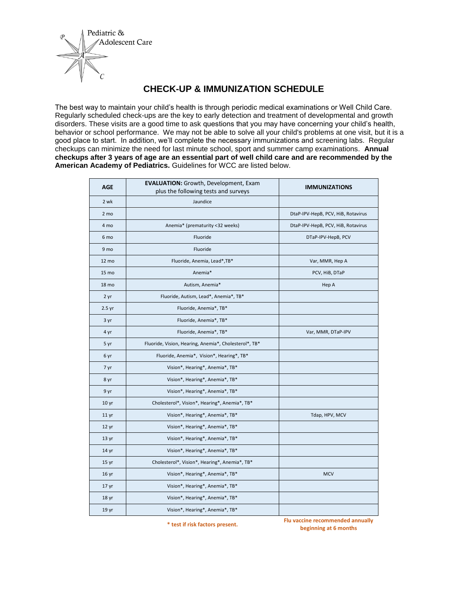

## **CHECK-UP & IMMUNIZATION SCHEDULE**

The best way to maintain your child's health is through periodic medical examinations or Well Child Care. Regularly scheduled check-ups are the key to early detection and treatment of developmental and growth disorders. These visits are a good time to ask questions that you may have concerning your child's health, behavior or school performance. We may not be able to solve all your child's problems at one visit, but it is a good place to start. In addition, we'll complete the necessary immunizations and screening labs. Regular checkups can minimize the need for last minute school, sport and summer camp examinations. **Annual checkups after 3 years of age are an essential part of well child care and are recommended by the American Academy of Pediatrics.** Guidelines for WCC are listed below.

| Jaundice                                              |                                      |
|-------------------------------------------------------|--------------------------------------|
|                                                       | DtaP-IPV-HepB, PCV, HiB, Rotavirus   |
| Anemia* (prematurity <32 weeks)                       | DtaP-IPV-HepB, PCV, HiB, Rotavirus   |
| Fluoride                                              | DTaP-IPV-HepB, PCV                   |
| Fluoride                                              |                                      |
| Fluoride, Anemia, Lead*, TB*                          | Var, MMR, Hep A                      |
| Anemia*                                               | PCV, HiB, DTaP                       |
| Autism, Anemia*                                       | Hep A                                |
| Fluoride, Autism, Lead*, Anemia*, TB*                 |                                      |
| Fluoride, Anemia*, TB*                                |                                      |
| Fluoride, Anemia*, TB*                                |                                      |
| Fluoride, Anemia*, TB*                                | Var, MMR, DTaP-IPV                   |
| Fluoride, Vision, Hearing, Anemia*, Cholesterol*, TB* |                                      |
| Fluoride, Anemia*, Vision*, Hearing*, TB*             |                                      |
| Vision*, Hearing*, Anemia*, TB*                       |                                      |
| Vision*, Hearing*, Anemia*, TB*                       |                                      |
| Vision*, Hearing*, Anemia*, TB*                       |                                      |
| Cholesterol*, Vision*, Hearing*, Anemia*, TB*         |                                      |
| Vision*, Hearing*, Anemia*, TB*                       | Tdap, HPV, MCV                       |
| Vision*, Hearing*, Anemia*, TB*                       |                                      |
| Vision*, Hearing*, Anemia*, TB*                       |                                      |
| Vision*, Hearing*, Anemia*, TB*                       |                                      |
| Cholesterol*, Vision*, Hearing*, Anemia*, TB*         |                                      |
| Vision*, Hearing*, Anemia*, TB*                       | <b>MCV</b>                           |
| Vision*, Hearing*, Anemia*, TB*                       |                                      |
| Vision*, Hearing*, Anemia*, TB*                       |                                      |
| Vision*, Hearing*, Anemia*, TB*                       |                                      |
|                                                       | plus the following tests and surveys |

**\* test if risk factors present. Flu vaccine recommended annually beginning at 6 months**